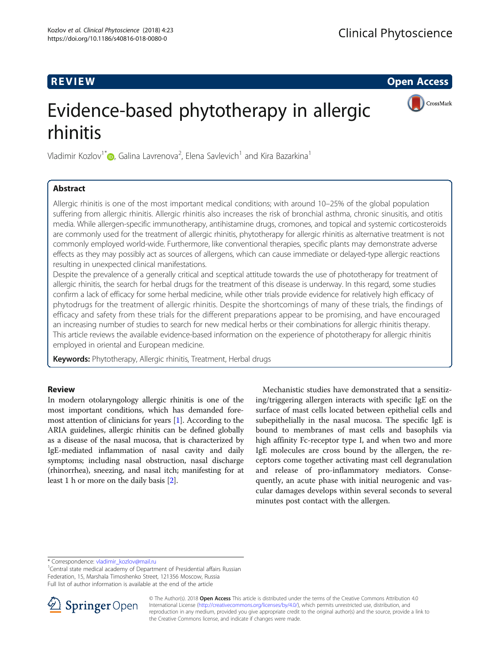**REVIEW CONSTRUCTION CONSTRUCTION CONSTRUCTS** 

CrossMark

# Evidence-based phytotherapy in allergic rhinitis

Vladimir Kozlov $^{\rm 1^\ast}$ D, Galina Lavrenova $^{\rm 2}$ , Elena Savlevich $^{\rm 1}$  and Kira Bazarkina $^{\rm 1}$ 

# Abstract

Allergic rhinitis is one of the most important medical conditions; with around 10–25% of the global population suffering from allergic rhinitis. Allergic rhinitis also increases the risk of bronchial asthma, chronic sinusitis, and otitis media. While allergen-specific immunotherapy, antihistamine drugs, cromones, and topical and systemic corticosteroids are commonly used for the treatment of allergic rhinitis, phytotherapy for allergic rhinitis as alternative treatment is not commonly employed world-wide. Furthermore, like conventional therapies, specific plants may demonstrate adverse effects as they may possibly act as sources of allergens, which can cause immediate or delayed-type allergic reactions resulting in unexpected clinical manifestations.

Despite the prevalence of a generally critical and sceptical attitude towards the use of phototherapy for treatment of allergic rhinitis, the search for herbal drugs for the treatment of this disease is underway. In this regard, some studies confirm a lack of efficacy for some herbal medicine, while other trials provide evidence for relatively high efficacy of phytodrugs for the treatment of allergic rhinitis. Despite the shortcomings of many of these trials, the findings of efficacy and safety from these trials for the different preparations appear to be promising, and have encouraged an increasing number of studies to search for new medical herbs or their combinations for allergic rhinitis therapy. This article reviews the available evidence-based information on the experience of phototherapy for allergic rhinitis employed in oriental and European medicine.

Keywords: Phytotherapy, Allergic rhinitis, Treatment, Herbal drugs

# Review

In modern otolaryngology allergic rhinitis is one of the most important conditions, which has demanded foremost attention of clinicians for years [[1](#page-6-0)]. According to the ARIA guidelines, allergic rhinitis can be defined globally as a disease of the nasal mucosa, that is characterized by IgE-mediated inflammation of nasal cavity and daily symptoms; including nasal obstruction, nasal discharge (rhinorrhea), sneezing, and nasal itch; manifesting for at least 1 h or more on the daily basis [\[2\]](#page-6-0).

Mechanistic studies have demonstrated that a sensitizing/triggering allergen interacts with specific IgЕ on the surface of mast cells located between epithelial cells and subepithelially in the nasal mucosa. The specific IgE is bound to membranes of mast cells and basophils via high affinity Fc-receptor type I, and when two and more IgE molecules are cross bound by the allergen, the receptors come together activating mast cell degranulation and release of pro-inflammatory mediators. Consequently, an acute phase with initial neurogenic and vascular damages develops within several seconds to several minutes post contact with the allergen.

\* Correspondence: [vladimir\\_kozlov@mail.ru](mailto:vladimir_kozlov@mail.ru) <sup>1</sup>

<sup>1</sup>Central state medical academy of Department of Presidential affairs Russian Federation, 15, Marshala Timoshenko Street, 121356 Moscow, Russia Full list of author information is available at the end of the article



© The Author(s). 2018 Open Access This article is distributed under the terms of the Creative Commons Attribution 4.0 International License ([http://creativecommons.org/licenses/by/4.0/\)](http://creativecommons.org/licenses/by/4.0/), which permits unrestricted use, distribution, and reproduction in any medium, provided you give appropriate credit to the original author(s) and the source, provide a link to the Creative Commons license, and indicate if changes were made.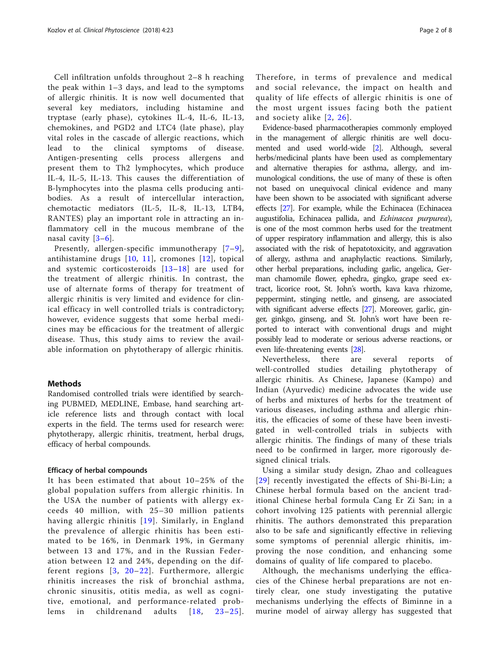Cell infiltration unfolds throughout 2–8 h reaching the peak within 1–3 days, and lead to the symptoms of allergic rhinitis. It is now well documented that several key mediators, including histamine and tryptase (early phase), cytokines IL-4, IL-6, IL-13, chemokines, and PGD2 and LTC4 (late phase), play vital roles in the cascade of allergic reactions, which lead to the clinical symptoms of disease. Antigen-presenting cells process allergens and present them to Th2 lymphocytes, which produce IL-4, IL-5, IL-13. This causes the differentiation of B-lymphocytes into the plasma cells producing antibodies. As a result of intercellular interaction, chemotactic mediators (IL-5, IL-8, IL-13, LTB4, RANTES) play an important role in attracting an inflammatory cell in the mucous membrane of the nasal cavity [[3](#page-6-0)–[6](#page-6-0)].

Presently, allergen-specific immunotherapy [\[7](#page-6-0)–[9\]](#page-6-0), antihistamine drugs [[10](#page-6-0), [11\]](#page-6-0), cromones [[12](#page-6-0)], topical and systemic corticosteroids [[13](#page-6-0)–[18\]](#page-6-0) are used for the treatment of allergic rhinitis. In contrast, the use of alternate forms of therapy for treatment of allergic rhinitis is very limited and evidence for clinical efficacy in well controlled trials is contradictory; however, evidence suggests that some herbal medicines may be efficacious for the treatment of allergic disease. Thus, this study aims to review the available information on phytotherapy of allergic rhinitis.

# **Methods**

Randomised controlled trials were identified by searching PUBMED, MEDLINE, Embase, hand searching article reference lists and through contact with local experts in the field. The terms used for research were: phytotherapy, allergic rhinitis, treatment, herbal drugs, efficacy of herbal compounds.

# Efficacy of herbal compounds

It has been estimated that about 10–25% of the global population suffers from allergic rhinitis. In the USA the number of patients with allergy exceeds 40 million, with 25–30 million patients having allergic rhinitis [[19\]](#page-7-0). Similarly, in England the prevalence of allergic rhinitis has been estimated to be 16%, in Denmark 19%, in Germany between 13 and 17%, and in the Russian Federation between 12 and 24%, depending on the different regions [[3,](#page-6-0) [20](#page-7-0)–[22](#page-7-0)]. Furthermore, allergic rhinitis increases the risk of bronchial asthma, chronic sinusitis, otitis media, as well as cognitive, emotional, and performance-related problems in childrenand adults [[18,](#page-6-0) [23](#page-7-0)–[25\]](#page-7-0).

Therefore, in terms of prevalence and medical and social relevance, the impact on health and quality of life effects of allergic rhinitis is one of the most urgent issues facing both the patient and society alike [[2,](#page-6-0) [26](#page-7-0)].

Evidence-based pharmacotherapies commonly employed in the management of allergic rhinitis are well documented and used world-wide [\[2\]](#page-6-0). Although, several herbs/medicinal plants have been used as complementary and alternative therapies for asthma, allergy, and immunological conditions, the use of many of these is often not based on unequivocal clinical evidence and many have been shown to be associated with significant adverse effects [[27\]](#page-7-0). For example, while the Echinacea (Echinacea augustifolia, Echinacea pallida, and Echinacea purpurea), is one of the most common herbs used for the treatment of upper respiratory inflammation and allergy, this is also associated with the risk of hepatotoxicity, and aggravation of allergy, asthma and anaphylactic reactions. Similarly, other herbal preparations, including garlic, angelica, German chamomile flower, ephedra, gingko, grape seed extract, licorice root, St. John's worth, kava kava rhizome, peppermint, stinging nettle, and ginseng, are associated with significant adverse effects [\[27](#page-7-0)]. Moreover, garlic, ginger, ginkgo, ginseng, and St. John's wort have been reported to interact with conventional drugs and might possibly lead to moderate or serious adverse reactions, or even life-threatening events [\[28](#page-7-0)].

Nevertheless, there are several reports of well-controlled studies detailing phytotherapy of allergic rhinitis. As Chinese, Japanese (Kampo) and Indian (Ayurvedic) medicine advocates the wide use of herbs and mixtures of herbs for the treatment of various diseases, including asthma and allergic rhinitis, the efficacies of some of these have been investigated in well-controlled trials in subjects with allergic rhinitis. The findings of many of these trials need to be confirmed in larger, more rigorously designed clinical trials.

Using a similar study design, Zhao and colleagues [[29](#page-7-0)] recently investigated the effects of Shi-Bi-Lin; a Chinese herbal formula based on the ancient traditional Chinese herbal formula Cang Er Zi San; in a cohort involving 125 patients with perennial allergic rhinitis. The authors demonstrated this preparation also to be safe and significantly effective in relieving some symptoms of perennial allergic rhinitis, improving the nose condition, and enhancing some domains of quality of life compared to placebo.

Although, the mechanisms underlying the efficacies of the Chinese herbal preparations are not entirely clear, one study investigating the putative mechanisms underlying the effects of Biminne in a murine model of airway allergy has suggested that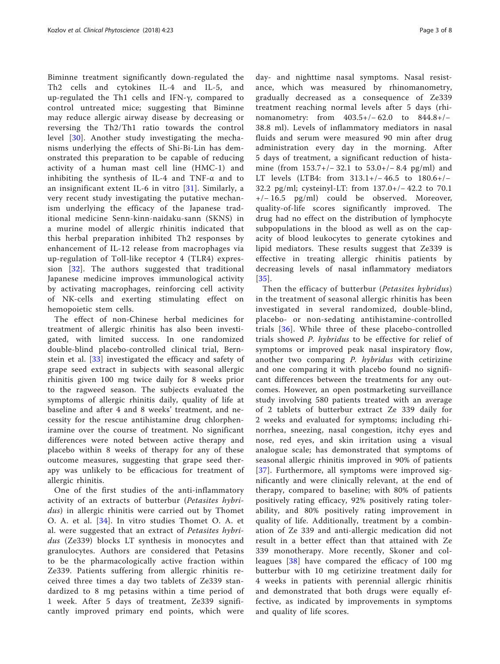Biminne treatment significantly down-regulated the Th2 cells and cytokines IL-4 and IL-5, and up-regulated the Th1 cells and IFN-γ, compared to control untreated mice; suggesting that Biminne may reduce allergic airway disease by decreasing or reversing the Th2/Th1 ratio towards the control level [[30](#page-7-0)]. Another study investigating the mechanisms underlying the effects of Shi-Bi-Lin has demonstrated this preparation to be capable of reducing activity of a human mast cell line (HMC-1) and inhibiting the synthesis of IL-4 and TNF- $\alpha$  and to an insignificant extent IL-6 in vitro [\[31\]](#page-7-0). Similarly, a very recent study investigating the putative mechanism underlying the efficacy of the Japanese traditional medicine Senn-kinn-naidaku-sann (SKNS) in a murine model of allergic rhinitis indicated that this herbal preparation inhibited Th2 responses by enhancement of IL-12 release from macrophages via up-regulation of Toll-like receptor 4 (TLR4) expression [[32\]](#page-7-0). The authors suggested that traditional Japanese medicine improves immunological activity by activating macrophages, reinforcing cell activity of NK-cells and exerting stimulating effect on hemopoietic stem cells.

The effect of non-Chinese herbal medicines for treatment of allergic rhinitis has also been investigated, with limited success. In one randomized double-blind placebo-controlled clinical trial, Bernstein et al. [[33\]](#page-7-0) investigated the efficacy and safety of grape seed extract in subjects with seasonal allergic rhinitis given 100 mg twice daily for 8 weeks prior to the ragweed season. The subjects evaluated the symptoms of allergic rhinitis daily, quality of life at baseline and after 4 and 8 weeks' treatment, and necessity for the rescue antihistamine drug chlorpheniramine over the course of treatment. No significant differences were noted between active therapy and placebo within 8 weeks of therapy for any of these outcome measures, suggesting that grape seed therapy was unlikely to be efficacious for treatment of allergic rhinitis.

One of the first studies of the anti-inflammatory activity of an extracts of butterbur (Petasites hybridus) in allergic rhinitis were carried out by Thomet O. A. et al. [[34](#page-7-0)]. In vitro studies Thomet O. A. et al. were suggested that an extract of Petasites hybridus (Ze339) blocks LT synthesis in monocytes and granulocytes. Authors are considered that Petasins to be the pharmacologically active fraction within Ze339. Patients suffering from allergic rhinitis received three times a day two tablets of Ze339 standardized to 8 mg petasins within a time period of 1 week. After 5 days of treatment, Ze339 significantly improved primary end points, which were

day- and nighttime nasal symptoms. Nasal resistance, which was measured by rhinomanometry, gradually decreased as a consequence of Ze339 treatment reaching normal levels after 5 days (rhinomanometry: from 403.5+/− 62.0 to 844.8+/− 38.8 ml). Levels of inflammatory mediators in nasal fluids and serum were measured 90 min after drug administration every day in the morning. After 5 days of treatment, a significant reduction of histamine (from 153.7+/− 32.1 to 53.0+/− 8.4 pg/ml) and LT levels (LTB4: from 313.1+/− 46.5 to 180.6+/− 32.2 pg/ml; cysteinyl-LT: from 137.0+/− 42.2 to 70.1 +/− 16.5 pg/ml) could be observed. Moreover, quality-of-life scores significantly improved. The drug had no effect on the distribution of lymphocyte subpopulations in the blood as well as on the capacity of blood leukocytes to generate cytokines and lipid mediators. These results suggest that Ze339 is effective in treating allergic rhinitis patients by decreasing levels of nasal inflammatory mediators [[35](#page-7-0)].

Then the efficacy of butterbur (Petasites hybridus) in the treatment of seasonal allergic rhinitis has been investigated in several randomized, double-blind, placebo- or non-sedating antihistamine-controlled trials [[36\]](#page-7-0). While three of these placebo-controlled trials showed P. hybridus to be effective for relief of symptoms or improved peak nasal inspiratory flow, another two comparing P. hybridus with cetirizine and one comparing it with placebo found no significant differences between the treatments for any outcomes. However, an open postmarketing surveillance study involving 580 patients treated with an average of 2 tablets of butterbur extract Ze 339 daily for 2 weeks and evaluated for symptoms; including rhinorrhea, sneezing, nasal congestion, itchy eyes and nose, red eyes, and skin irritation using a visual analogue scale; has demonstrated that symptoms of seasonal allergic rhinitis improved in 90% of patients [[37](#page-7-0)]. Furthermore, all symptoms were improved significantly and were clinically relevant, at the end of therapy, compared to baseline; with 80% of patients positively rating efficacy, 92% positively rating tolerability, and 80% positively rating improvement in quality of life. Additionally, treatment by a combination of Ze 339 and anti-allergic medication did not result in a better effect than that attained with Ze 339 monotherapy. More recently, Skoner and colleagues [\[38\]](#page-7-0) have compared the efficacy of 100 mg butterbur with 10 mg cetirizine treatment daily for 4 weeks in patients with perennial allergic rhinitis and demonstrated that both drugs were equally effective, as indicated by improvements in symptoms and quality of life scores.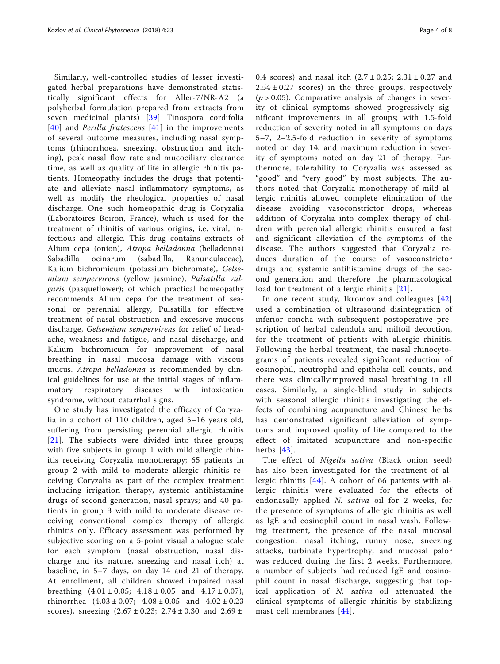Similarly, well-controlled studies of lesser investigated herbal preparations have demonstrated statistically significant effects for Aller-7/NR-A2 (a polyherbal formulation prepared from extracts from seven medicinal plants) [\[39\]](#page-7-0) Tinospora cordifolia [[40](#page-7-0)] and *Perilla frutescens* [[41\]](#page-7-0) in the improvements of several outcome measures, including nasal symptoms (rhinorrhoea, sneezing, obstruction and itching), peak nasal flow rate and mucociliary clearance time, as well as quality of life in allergic rhinitis patients. Homeopathy includes the drugs that potentiate and alleviate nasal inflammatory symptoms, as well as modify the rheological properties of nasal discharge. One such homeopathic drug is Coryzalia (Laboratoires Boiron, France), which is used for the treatment of rhinitis of various origins, i.e. viral, infectious and allergic. This drug contains extracts of Alium cepa (onion), Atropa belladonna (belladonna) Sabadilla ocinarum (sabadilla, Ranunculaceae), Kalium bichromicum (potassium bichromate), Gelsemium sempervirens (yellow jasmine), Pulsatilla vulgaris (pasqueflower); of which practical homeopathy recommends Alium cepa for the treatment of seasonal or perennial allergy, Pulsatilla for effective treatment of nasal obstruction and excessive mucous discharge, Gelsemium sempervirens for relief of headache, weakness and fatigue, and nasal discharge, and Kalium bichromicum for improvement of nasal breathing in nasal mucosa damage with viscous mucus. Atropa belladonna is recommended by clinical guidelines for use at the initial stages of inflammatory respiratory diseases with intoxication syndrome, without catarrhal signs.

One study has investigated the efficacy of Coryzalia in a cohort of 110 children, aged 5–16 years old, suffering from persisting perennial allergic rhinitis [[21](#page-7-0)]. The subjects were divided into three groups; with five subjects in group 1 with mild allergic rhinitis receiving Coryzalia monotherapy; 65 patients in group 2 with mild to moderate allergic rhinitis receiving Coryzalia as part of the complex treatment including irrigation therapy, systemic antihistamine drugs of second generation, nasal sprays; and 40 patients in group 3 with mild to moderate disease receiving conventional complex therapy of allergic rhinitis only. Efficacy assessment was performed by subjective scoring on a 5-point visual analogue scale for each symptom (nasal obstruction, nasal discharge and its nature, sneezing and nasal itch) at baseline, in 5–7 days, on day 14 and 21 of therapy. At enrollment, all children showed impaired nasal breathing  $(4.01 \pm 0.05; 4.18 \pm 0.05$  and  $4.17 \pm 0.07)$ , rhinorrhea  $(4.03 \pm 0.07; 4.08 \pm 0.05$  and  $4.02 \pm 0.23$ scores), sneezing  $(2.67 \pm 0.23; 2.74 \pm 0.30)$  and  $2.69 \pm 0.30$ 

0.4 scores) and nasal itch  $(2.7 \pm 0.25; 2.31 \pm 0.27$  and  $2.54 \pm 0.27$  scores) in the three groups, respectively  $(p > 0.05)$ . Comparative analysis of changes in severity of clinical symptoms showed progressively significant improvements in all groups; with 1.5-fold reduction of severity noted in all symptoms on days 5–7, 2–2.5-fold reduction in severity of symptoms noted on day 14, and maximum reduction in severity of symptoms noted on day 21 of therapy. Furthermore, tolerability to Coryzalia was assessed as "good" and "very good" by most subjects. The authors noted that Coryzalia monotherapy of mild allergic rhinitis allowed complete elimination of the disease avoiding vasoconstrictor drops, whereas addition of Coryzalia into complex therapy of children with perennial allergic rhinitis ensured a fast and significant alleviation of the symptoms of the disease. The authors suggested that Coryzalia reduces duration of the course of vasoconstrictor drugs and systemic antihistamine drugs of the second generation and therefore the pharmacological load for treatment of allergic rhinitis [\[21\]](#page-7-0).

In one recent study, Ikromov and colleagues [[42](#page-7-0)] used a combination of ultrasound disintegration of inferior concha with subsequent postoperative prescription of herbal calendula and milfoil decoction, for the treatment of patients with allergic rhinitis. Following the herbal treatment, the nasal rhinocytograms of patients revealed significant reduction of eosinophil, neutrophil and epithelia cell counts, and there was clinicallyimproved nasal breathing in all cases. Similarly, a single-blind study in subjects with seasonal allergic rhinitis investigating the effects of combining acupuncture and Chinese herbs has demonstrated significant alleviation of symptoms and improved quality of life compared to the effect of imitated acupuncture and non-specific herbs [[43](#page-7-0)].

The effect of Nigella sativa (Black onion seed) has also been investigated for the treatment of allergic rhinitis [\[44\]](#page-7-0). A cohort of 66 patients with allergic rhinitis were evaluated for the effects of endonasally applied N. sativa oil for 2 weeks, for the presence of symptoms of allergic rhinitis as well as IgE and eosinophil count in nasal wash. Following treatment, the presence of the nasal mucosal congestion, nasal itching, runny nose, sneezing attacks, turbinate hypertrophy, and mucosal palor was reduced during the first 2 weeks. Furthermore, a number of subjects had reduced IgE and eosinophil count in nasal discharge, suggesting that topical application of N. sativa oil attenuated the clinical symptoms of allergic rhinitis by stabilizing mast cell membranes [[44\]](#page-7-0).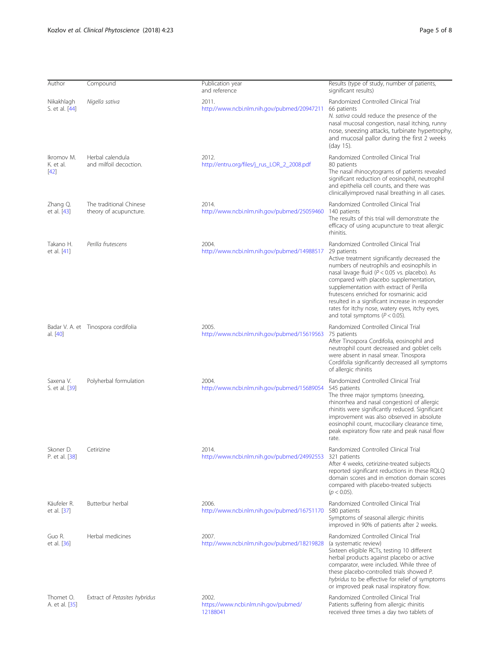| Author                            | Compound                                          | Publication year<br>and reference                         | Results (type of study, number of patients,<br>significant results)                                                                                                                                                                                                                                                                                                                                                                                                             |
|-----------------------------------|---------------------------------------------------|-----------------------------------------------------------|---------------------------------------------------------------------------------------------------------------------------------------------------------------------------------------------------------------------------------------------------------------------------------------------------------------------------------------------------------------------------------------------------------------------------------------------------------------------------------|
| Nikakhlagh<br>S. et al. [44]      | Nigella sativa                                    | 2011.<br>http://www.ncbi.nlm.nih.gov/pubmed/20947211      | Randomized Controlled Clinical Trial<br>66 patients<br>N. sativa could reduce the presence of the<br>nasal mucosal congestion, nasal itching, runny<br>nose, sneezing attacks, turbinate hypertrophy,<br>and mucosal pallor during the first 2 weeks<br>(day 15).                                                                                                                                                                                                               |
| Ikromov M.<br>K. et al.<br>$[42]$ | Herbal calendula<br>and milfoil decoction.        | 2012.<br>http://entru.org/files/j_rus_LOR_2_2008.pdf      | Randomized Controlled Clinical Trial<br>80 patients<br>The nasal rhinocytograms of patients revealed<br>significant reduction of eosinophil, neutrophil<br>and epithelia cell counts, and there was<br>clinicallyimproved nasal breathing in all cases.                                                                                                                                                                                                                         |
| Zhang Q.<br>et al. [43]           | The traditional Chinese<br>theory of acupuncture. | 2014.<br>http://www.ncbi.nlm.nih.gov/pubmed/25059460      | Randomized Controlled Clinical Trial<br>140 patients<br>The results of this trial will demonstrate the<br>efficacy of using acupuncture to treat allergic<br>rhinitis.                                                                                                                                                                                                                                                                                                          |
| Takano H.<br>et al. [41]          | Perilla frutescens                                | 2004.<br>http://www.ncbi.nlm.nih.gov/pubmed/14988517      | Randomized Controlled Clinical Trial<br>29 patients<br>Active treatment significantly decreased the<br>numbers of neutrophils and eosinophils in<br>nasal lavage fluid ( $P < 0.05$ vs. placebo). As<br>compared with placebo supplementation,<br>supplementation with extract of Perilla<br>frutescens enriched for rosmarinic acid<br>resulted in a significant increase in responder<br>rates for itchy nose, watery eyes, itchy eyes,<br>and total symptoms ( $P < 0.05$ ). |
| al. [40]                          | Badar V. A. et Tinospora cordifolia               | 2005.<br>http://www.ncbi.nlm.nih.gov/pubmed/15619563      | Randomized Controlled Clinical Trial<br>75 patients<br>After Tinospora Cordifolia, eosinophil and<br>neutrophil count decreased and goblet cells<br>were absent in nasal smear. Tinospora<br>Cordifolia significantly decreased all symptoms<br>of allergic rhinitis                                                                                                                                                                                                            |
| Saxena V.<br>S. et al. [39]       | Polyherbal formulation                            | 2004.<br>http://www.ncbi.nlm.nih.gov/pubmed/15689054      | Randomized Controlled Clinical Trial<br>545 patients<br>The three major symptoms (sneezing,<br>rhinorrhea and nasal congestion) of allergic<br>rhinitis were significantly reduced. Significant<br>improvement was also observed in absolute<br>eosinophil count, mucociliary clearance time,<br>peak expiratory flow rate and peak nasal flow<br>rate.                                                                                                                         |
| Skoner D.<br>P. et al. [38]       | Cetirizine                                        | 2014.<br>http://www.ncbi.nlm.nih.gov/pubmed/24992553      | Randomized Controlled Clinical Trial<br>321 patients<br>After 4 weeks, cetirizine-treated subjects<br>reported significant reductions in these RQLQ<br>domain scores and in emotion domain scores<br>compared with placebo-treated subjects<br>$(p < 0.05)$ .                                                                                                                                                                                                                   |
| Käufeler R.<br>et al. [37]        | Butterbur herbal                                  | 2006.<br>http://www.ncbi.nlm.nih.gov/pubmed/16751170      | Randomized Controlled Clinical Trial<br>580 patients<br>Symptoms of seasonal allergic rhinitis<br>improved in 90% of patients after 2 weeks.                                                                                                                                                                                                                                                                                                                                    |
| Guo R.<br>et al. [36]             | Herbal medicines                                  | 2007.<br>http://www.ncbi.nlm.nih.gov/pubmed/18219828      | Randomized Controlled Clinical Trial<br>(a systematic review)<br>Sixteen eligible RCTs, testing 10 different<br>herbal products against placebo or active<br>comparator, were included. While three of<br>these placebo-controlled trials showed P.<br>hybridus to be effective for relief of symptoms<br>or improved peak nasal inspiratory flow.                                                                                                                              |
| Thomet O.<br>A. et al. [35]       | Extract of Petasites hybridus                     | 2002.<br>https://www.ncbi.nlm.nih.gov/pubmed/<br>12188041 | Randomized Controlled Clinical Trial<br>Patients suffering from allergic rhinitis<br>received three times a day two tablets of                                                                                                                                                                                                                                                                                                                                                  |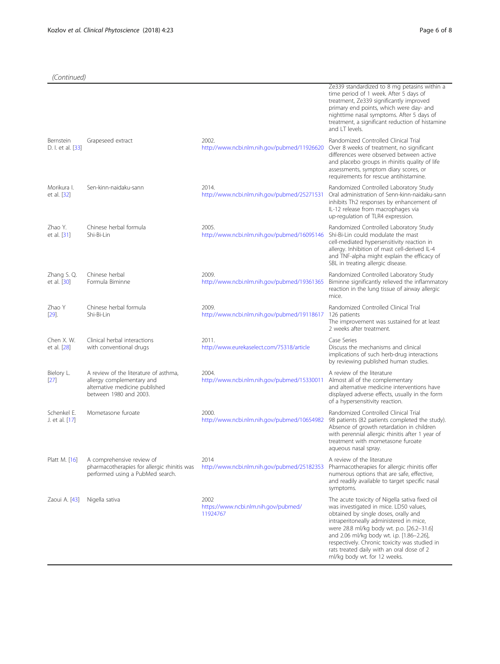(Continued)

| (Commided)                     |                                                                                                                                |                                                          |                                                                                                                                                                                                                                                                                                                                                                                                     |
|--------------------------------|--------------------------------------------------------------------------------------------------------------------------------|----------------------------------------------------------|-----------------------------------------------------------------------------------------------------------------------------------------------------------------------------------------------------------------------------------------------------------------------------------------------------------------------------------------------------------------------------------------------------|
|                                |                                                                                                                                |                                                          | Ze339 standardized to 8 mg petasins within a<br>time period of 1 week. After 5 days of<br>treatment, Ze339 significantly improved<br>primary end points, which were day- and<br>nighttime nasal symptoms. After 5 days of<br>treatment, a significant reduction of histamine<br>and LT levels.                                                                                                      |
| Bernstein<br>D. I. et al. [33] | Grapeseed extract                                                                                                              | 2002.<br>http://www.ncbi.nlm.nih.gov/pubmed/11926620     | Randomized Controlled Clinical Trial<br>Over 8 weeks of treatment, no significant<br>differences were observed between active<br>and placebo groups in rhinitis quality of life<br>assessments, symptom diary scores, or<br>requirements for rescue antihistamine.                                                                                                                                  |
| Morikura I.<br>et al. [32]     | Sen-kinn-naidaku-sann                                                                                                          | 2014.<br>http://www.ncbi.nlm.nih.gov/pubmed/25271531     | Randomized Controlled Laboratory Study<br>Oral administration of Senn-kinn-naidaku-sann<br>inhibits Th2 responses by enhancement of<br>IL-12 release from macrophages via<br>up-regulation of TLR4 expression.                                                                                                                                                                                      |
| Zhao Y.<br>et al. [31]         | Chinese herbal formula<br>Shi-Bi-Lin                                                                                           | 2005.<br>http://www.ncbi.nlm.nih.gov/pubmed/16095146     | Randomized Controlled Laboratory Study<br>Shi-Bi-Lin could modulate the mast<br>cell-mediated hypersensitivity reaction in<br>allergy. Inhibition of mast cell-derived IL-4<br>and TNF-alpha might explain the efficacy of<br>SBL in treating allergic disease.                                                                                                                                     |
| Zhang S.Q.<br>et al. [30]      | Chinese herbal<br>Formula Biminne                                                                                              | 2009.<br>http://www.ncbi.nlm.nih.gov/pubmed/19361365     | Randomized Controlled Laboratory Study<br>Biminne significantly relieved the inflammatory<br>reaction in the lung tissue of airway allergic<br>mice.                                                                                                                                                                                                                                                |
| Zhao Y<br>$[29].$              | Chinese herbal formula<br>Shi-Bi-Lin                                                                                           | 2009.<br>http://www.ncbi.nlm.nih.gov/pubmed/19118617     | Randomized Controlled Clinical Trial<br>126 patients<br>The improvement was sustained for at least<br>2 weeks after treatment.                                                                                                                                                                                                                                                                      |
| Chen X.W.<br>et al. [28]       | Clinical herbal interactions<br>with conventional drugs                                                                        | 2011.<br>http://www.eurekaselect.com/75318/article       | Case Series<br>Discuss the mechanisms and clinical<br>implications of such herb-drug interactions<br>by reviewing published human studies.                                                                                                                                                                                                                                                          |
| Bielory L.<br>$[27]$           | A review of the literature of asthma,<br>allergy complementary and<br>alternative medicine published<br>between 1980 and 2003. | 2004.<br>http://www.ncbi.nlm.nih.gov/pubmed/15330011     | A review of the literature<br>Almost all of the complementary<br>and alternative medicine interventions have<br>displayed adverse effects, usually in the form<br>of a hypersensitivity reaction.                                                                                                                                                                                                   |
| Schenkel E.<br>J. et al. [17]  | Mometasone furoate                                                                                                             | 2000.<br>http://www.ncbi.nlm.nih.gov/pubmed/10654982     | Randomized Controlled Clinical Trial<br>98 patients (82 patients completed the study).<br>Absence of growth retardation in children<br>with perennial allergic rhinitis after 1 year of<br>treatment with mometasone furoate<br>aqueous nasal spray.                                                                                                                                                |
| Platt M. [16]                  | A comprehensive review of<br>pharmacotherapies for allergic rhinitis was<br>performed using a PubMed search.                   | 2014<br>http://www.ncbi.nlm.nih.gov/pubmed/25182353      | A review of the literature<br>Pharmacotherapies for allergic rhinitis offer<br>numerous options that are safe, effective,<br>and readily available to target specific nasal<br>symptoms.                                                                                                                                                                                                            |
| Zaoui A. [43]                  | Nigella sativa                                                                                                                 | 2002<br>https://www.ncbi.nlm.nih.gov/pubmed/<br>11924767 | The acute toxicity of Nigella sativa fixed oil<br>was investigated in mice. LD50 values,<br>obtained by single doses, orally and<br>intraperitoneally administered in mice,<br>were 28.8 ml/kg body wt. p.o. [26.2-31.6]<br>and 2.06 ml/kg body wt. i.p. [1.86-2.26],<br>respectively. Chronic toxicity was studied in<br>rats treated daily with an oral dose of 2<br>ml/kg body wt. for 12 weeks. |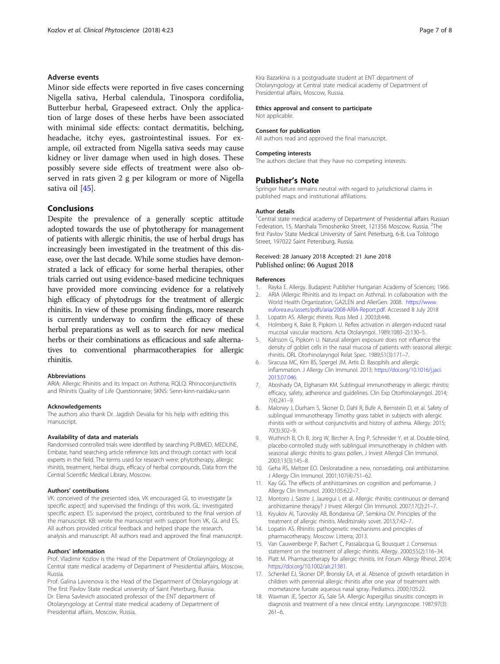# <span id="page-6-0"></span>Adverse events

Minor side effects were reported in five cases concerning Nigella sativa, Herbal calendula, Tinospora cordifolia, Butterbur herbal, Grapeseed extract. Only the application of large doses of these herbs have been associated with minimal side effects: contact dermatitis, belching, headache, itchy eyes, gastrointestinal issues. For example, oil extracted from Nigella sativa seeds may cause kidney or liver damage when used in high doses. These possibly severe side effects of treatment were also observed in rats given 2 g per kilogram or more of Nigella sativa oil [[45\]](#page-7-0).

# Conclusions

Despite the prevalence of a generally sceptic attitude adopted towards the use of phytotherapy for management of patients with allergic rhinitis, the use of herbal drugs has increasingly been investigated in the treatment of this disease, over the last decade. While some studies have demonstrated a lack of efficacy for some herbal therapies, other trials carried out using evidence-based medicine techniques have provided more convincing evidence for a relatively high efficacy of phytodrugs for the treatment of allergic rhinitis. In view of these promising findings, more research is currently underway to confirm the efficacy of these herbal preparations as well as to search for new medical herbs or their combinations as efficacious and safe alternatives to conventional pharmacotherapies for allergic rhinitis.

#### Abbreviations

ARIA: Allergic Rhinitis and its Impact on Asthma; RQLQ: Rhinoconjunctivitis and Rhinitis Quality of Life Questionnaire; SKNS: Senn-kinn-naidaku-sann

#### Acknowledgements

The authors also thank Dr. Jagdish Devalia for his help with editing this manuscript.

#### Availability of data and materials

Randomised controlled trials were identified by searching PUBMED, MEDLINE, Embase, hand searching article reference lists and through contact with local experts in the field. The terms used for research were: phytotherapy, allergic rhinitis, treatment, herbal drugs, efficacy of herbal compounds. Data from the Central Scientific Medical Library, Moscow.

#### Authors' contributions

VK: conceived of the presented idea, VK encouraged GL to investigate [a specific aspect] and supervised the findings of this work. GL: investigated specific aspect. ES: supervised the project, contributed to the final version of the manuscript. KB: wrote the manuscript with support from VK, GL and ES. All authors provided critical feedback and helped shape the research, analysis and manuscript. All authors read and approved the final manuscript.

### Authors' information

Prof. Vladimir Kozlov is the Head of the Department of Otolaryngology at Central state medical academy of Department of Presidential affairs, Moscow, Russia.

Prof. Galina Lavrenova is the Head of the Department of Otolaryngology at The first Pavlov State medical university of Saint Peterburg, Russia. Dr. Elena Savlevich associated professor of the ENT department of Otolaryngology at Central state medical academy of Department of Presidential affairs, Moscow, Russia.

Kira Bazarkina is a postgraduate student at ENT department of Otolaryngology at Central state medical academy of Department of Presidential affairs, Moscow, Russia.

#### Ethics approval and consent to participate

Not applicable.

#### Consent for publication

All authors read and approved the final manuscript.

#### Competing interests

The authors declare that they have no competing interests.

#### Publisher's Note

Springer Nature remains neutral with regard to jurisdictional claims in published maps and institutional affiliations.

#### Author details

<sup>1</sup> Central state medical academy of Department of Presidential affairs Russian Federation, 15, Marshala Timoshenko Street, 121356 Moscow, Russia. <sup>2</sup>The first Pavlov State Medical University of Saint Peterburg, 6-8, Lva Tolstogo Street, 197022 Saint Petersburg, Russia.

## Received: 28 January 2018 Accepted: 21 June 2018 Published online: 06 August 2018

#### References

- 1. Rayka E. Allergy. Budapest: Publisher Hungarian Academy of Sciences; 1966.
- 2. ARIA (Allergic Rhinitis and its Impact on Asthma). In collaboration with the World Health Organization, GA2LEN and AllerGen. 2008. [https://www.](https://www.euforea.eu/assets/pdfs/aria/2008-ARIA-Report.pdf) [euforea.eu/assets/pdfs/aria/2008-ARIA-Report.pdf.](https://www.euforea.eu/assets/pdfs/aria/2008-ARIA-Report.pdf) Accessed 8 July 2018
- 3. Lopatin AS. Allergic rhinitis. Russ Med J. 2003;8:446.
- 4. Holmberg К, Bake В, Pipkorn U. Reflex activation in allergen-induced nasal mucosal vascular reactions. Acta Otolaryngol. 1989;108(l–2):130–5.
- 5. Kalrsson G, Pipkorn U. Natural allergen exposure does not influence the density of goblet cells in the nasal mucosa of patients with seasonal allergic rhinitis. ORL Otorhinolaryngol Relat Spec. 1989;51(3):171–7.
- 6. Siracusa MC, Kim BS, Spergel JM, Artis D. Basophils and allergic inflammation. J Allergy Clin Immunol. 2013; [https://doi.org/10.1016/j.jaci.](https://doi.org/10.1016/j.jaci.2013.07.046) [2013.07.046.](https://doi.org/10.1016/j.jaci.2013.07.046)
- 7. Aboshady OA, Elghanam KM. Sublingual immunotherapy in allergic rhinitis: efficacy, safety, adherence and guidelines. Clin Exp Otorhinolaryngol. 2014; 7(4):241–9.
- 8. Maloney J, Durham S, Skoner D, Dahl R, Bufe A, Bernstein D, et al. Safety of sublingual immunotherapy Timothy grass tablet in subjects with allergic rhinitis with or without conjunctivitis and history of asthma. Allergy. 2015; 70(3):302–9.
- 9. Wuthrich B, Ch B, Jorg W, Bircher A, Eng P, Schneider Y, et al. Double-blind, placebo-controlled study with sublingual immunotherapy in children with seasonal allergic rhinitis to grass pollen. J Invest Allergol Clin Immunol. 2003;13(3):145–8.
- 10. Geha RS, Meltzer EO. Desloratadine: a new, nonsedating, oral antihistamine. J Allergy Clin Immunol. 2001;107(4):751–62.
- 11. Kay GG. The effects of antihistamines on cognition and perfomanse. J Allergy Clin Immunol. 2000;105:622–7.
- 12. Montoro J, Sastre J, Jauregui I, et al. Allergic rhinitis: continuous or demand antihistamine therapy? J Invest Allergol Clin Immunol. 2007;17(2):21–7.
- 13. Kryukov AI, Turovskiy AB, Bondareva GP, Semkina OV. Principles of the treatment of allergic rhinitis. Meditsinskiy sovet. 2013;7:42–7.
- 14. Lopatin AS. Rhinitis: pathogenetic mechanisms and principles of pharmacotherapy. Moscow: Litterra; 2013.
- 15. Van Cauwenberge P, Bachert C, Passalacqua G, Bousquet J. Consensus statement on the treatment of allergic rhinitis. Allergy. 2000;55(2):116–34.
- 16. Platt M. Pharmacotherapy for allergic rhinitis. Int Forum Allergy Rhinol. 2014; <https://doi.org/10.1002/alr.21381.>
- 17. Schenkel EJ, Skoner DP, Bronsky EA, et al. Absence of growth retardation in children with perennial allergic rhinitis after one year of treatment with mometasone furoate aqueous nasal spray. Pediatrics. 2000;105:22.
- 18. Waxman JE, Spector JG, Sale SA. Allergic Aspergillus sinusitis: concepts in diagnosis and treatment of a new clinical entity. Laryngoscope. 1987;97(3): 261–6.